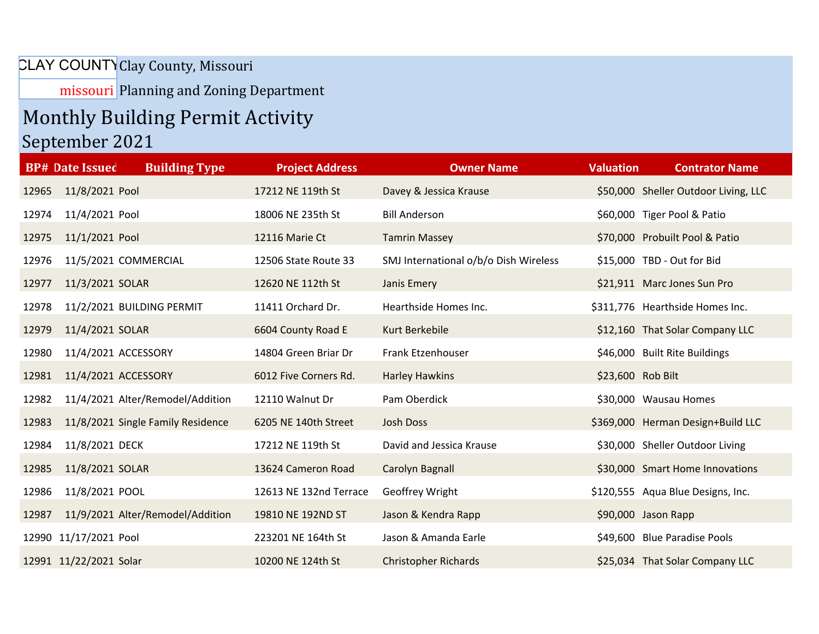## CLAY COUNTY Clay County, Missouri

missouri Planning and Zoning Department

## Monthly Building Permit Activity

## September 2021

|       | <b>Building Type</b><br><b>BP# Date Issued</b> | <b>Project Address</b> | <b>Owner Name</b>                     | <b>Valuation</b>  | <b>Contrator Name</b>                |
|-------|------------------------------------------------|------------------------|---------------------------------------|-------------------|--------------------------------------|
| 12965 | 11/8/2021 Pool                                 | 17212 NE 119th St      | Davey & Jessica Krause                |                   | \$50,000 Sheller Outdoor Living, LLC |
| 12974 | 11/4/2021 Pool                                 | 18006 NE 235th St      | <b>Bill Anderson</b>                  |                   | \$60,000 Tiger Pool & Patio          |
| 12975 | 11/1/2021 Pool                                 | 12116 Marie Ct         | <b>Tamrin Massey</b>                  |                   | \$70,000 Probuilt Pool & Patio       |
| 12976 | 11/5/2021 COMMERCIAL                           | 12506 State Route 33   | SMJ International o/b/o Dish Wireless |                   | \$15,000 TBD - Out for Bid           |
| 12977 | 11/3/2021 SOLAR                                | 12620 NE 112th St      | Janis Emery                           |                   | \$21,911 Marc Jones Sun Pro          |
| 12978 | 11/2/2021 BUILDING PERMIT                      | 11411 Orchard Dr.      | Hearthside Homes Inc.                 |                   | \$311,776 Hearthside Homes Inc.      |
| 12979 | 11/4/2021 SOLAR                                | 6604 County Road E     | Kurt Berkebile                        |                   | \$12,160 That Solar Company LLC      |
| 12980 | 11/4/2021 ACCESSORY                            | 14804 Green Briar Dr   | Frank Etzenhouser                     |                   | \$46,000 Built Rite Buildings        |
| 12981 | 11/4/2021 ACCESSORY                            | 6012 Five Corners Rd.  | <b>Harley Hawkins</b>                 | \$23,600 Rob Bilt |                                      |
| 12982 | 11/4/2021 Alter/Remodel/Addition               | 12110 Walnut Dr        | Pam Oberdick                          |                   | \$30,000 Wausau Homes                |
| 12983 | 11/8/2021 Single Family Residence              | 6205 NE 140th Street   | Josh Doss                             |                   | \$369,000 Herman Design+Build LLC    |
| 12984 | 11/8/2021 DECK                                 | 17212 NE 119th St      | David and Jessica Krause              |                   | \$30,000 Sheller Outdoor Living      |
| 12985 | 11/8/2021 SOLAR                                | 13624 Cameron Road     | Carolyn Bagnall                       |                   | \$30,000 Smart Home Innovations      |
| 12986 | 11/8/2021 POOL                                 | 12613 NE 132nd Terrace | Geoffrey Wright                       |                   | \$120,555 Aqua Blue Designs, Inc.    |
| 12987 | 11/9/2021 Alter/Remodel/Addition               | 19810 NE 192ND ST      | Jason & Kendra Rapp                   |                   | \$90,000 Jason Rapp                  |
|       | 12990 11/17/2021 Pool                          | 223201 NE 164th St     | Jason & Amanda Earle                  |                   | \$49,600 Blue Paradise Pools         |
|       | 12991 11/22/2021 Solar                         | 10200 NE 124th St      | <b>Christopher Richards</b>           |                   | \$25,034 That Solar Company LLC      |